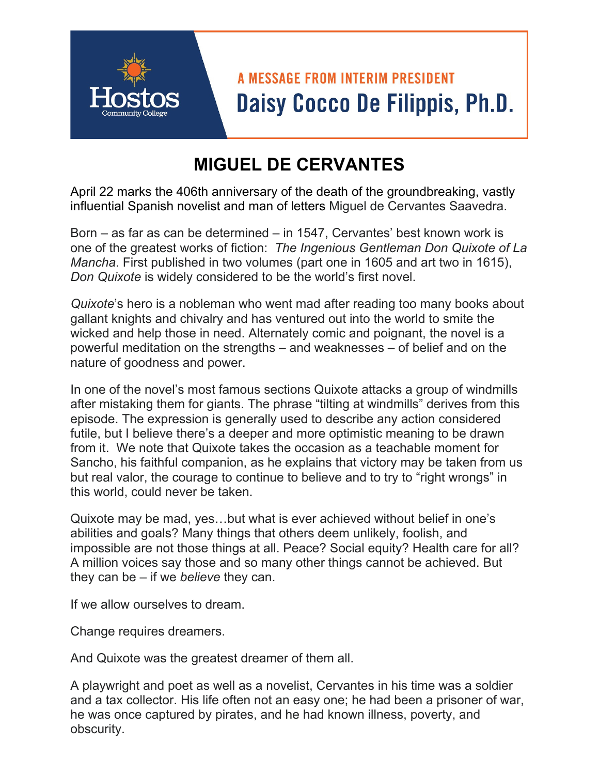## **A MESSAGE FROM INTERIM PRESIDENT** Daisy Cocco De Filippis, Ph.D.

## **MIGUEL DE CERVANTES**

April 22 marks the 406th anniversary of the death of the groundbreaking, vastly influential Spanish novelist and man of letters Miguel de Cervantes Saavedra.

Born – as far as can be determined – in 1547, Cervantes' best known work is one of the greatest works of fiction: *The Ingenious Gentleman Don Quixote of La Mancha*. First published in two volumes (part one in 1605 and art two in 1615), *Don Quixote* is widely considered to be the world's first novel.

*Quixote*'s hero is a nobleman who went mad after reading too many books about gallant knights and chivalry and has ventured out into the world to smite the wicked and help those in need. Alternately comic and poignant, the novel is a powerful meditation on the strengths – and weaknesses – of belief and on the nature of goodness and power.

In one of the novel's most famous sections Quixote attacks a group of windmills after mistaking them for giants. The phrase "tilting at windmills" derives from this episode. The expression is generally used to describe any action considered futile, but I believe there's a deeper and more optimistic meaning to be drawn from it. We note that Quixote takes the occasion as a teachable moment for Sancho, his faithful companion, as he explains that victory may be taken from us but real valor, the courage to continue to believe and to try to "right wrongs" in this world, could never be taken.

Quixote may be mad, yes…but what is ever achieved without belief in one's abilities and goals? Many things that others deem unlikely, foolish, and impossible are not those things at all. Peace? Social equity? Health care for all? A million voices say those and so many other things cannot be achieved. But they can be – if we *believe* they can.

If we allow ourselves to dream.

Change requires dreamers.

And Quixote was the greatest dreamer of them all.

A playwright and poet as well as a novelist, Cervantes in his time was a soldier and a tax collector. His life often not an easy one; he had been a prisoner of war, he was once captured by pirates, and he had known illness, poverty, and obscurity.